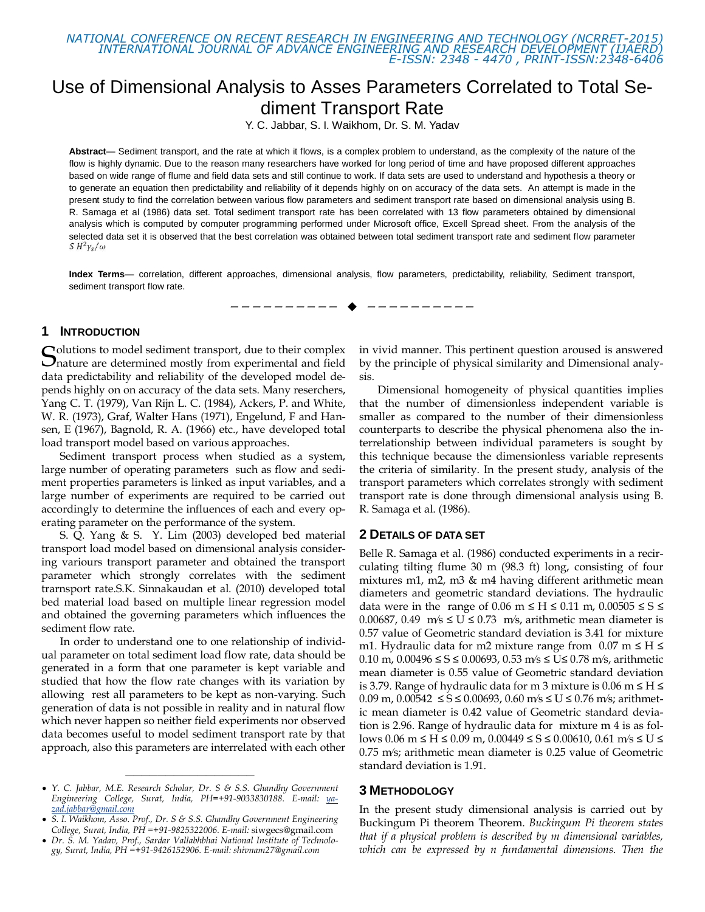*NATIONAL CONFERENCE ON RECENT RESEARCH IN ENGINEERING AND TECHNOLOGY (NCRRET-2015) INTERNATIONAL JOURNAL OF ADVANCE ENGINEERING AND RESEARCH DEVELOPMENT (IJAERD) E-ISSN: 2348 - 4470 , PRINT-ISSN:2348-6406*

# Use of Dimensional Analysis to Asses Parameters Correlated to Total Sediment Transport Rate

Y. C. Jabbar, S. I. Waikhom, Dr. S. M. Yadav

**Abstract**— Sediment transport, and the rate at which it flows, is a complex problem to understand, as the complexity of the nature of the flow is highly dynamic. Due to the reason many researchers have worked for long period of time and have proposed different approaches based on wide range of flume and field data sets and still continue to work. If data sets are used to understand and hypothesis a theory or to generate an equation then predictability and reliability of it depends highly on on accuracy of the data sets. An attempt is made in the present study to find the correlation between various flow parameters and sediment transport rate based on dimensional analysis using B. R. Samaga et al (1986) data set. Total sediment transport rate has been correlated with 13 flow parameters obtained by dimensional analysis which is computed by computer programming performed under Microsoft office, Excell Spread sheet. From the analysis of the selected data set it is observed that the best correlation was obtained between total sediment transport rate and sediment flow parameter  $S H^2 \gamma_s/\omega$ 

**Index Terms**— correlation, different approaches, dimensional analysis, flow parameters, predictability, reliability, Sediment transport, sediment transport flow rate.

—————————— ——————————

# **1 INTRODUCTION**

olutions to model sediment transport, due to their complex **S**olutions to model sediment transport, due to their complex nature are determined mostly from experimental and field data predictability and reliability of the developed model depends highly on on accuracy of the data sets. Many reserchers, Yang C. T. (1979), Van Rijn L. C. (1984), Ackers, P. and White, W. R. (1973), Graf, Walter Hans (1971), Engelund, F and Hansen, E (1967), Bagnold, R. A. (1966) etc., have developed total load transport model based on various approaches.

Sediment transport process when studied as a system, large number of operating parameters such as flow and sediment properties parameters is linked as input variables, and a large number of experiments are required to be carried out accordingly to determine the influences of each and every operating parameter on the performance of the system.

S. Q. Yang & S. Y. Lim (2003) developed bed material transport load model based on dimensional analysis considering variours transport parameter and obtained the transport parameter which strongly correlates with the sediment trarnsport rate.S.K. Sinnakaudan et al. (2010) developed total bed material load based on multiple linear regression model and obtained the governing parameters which influences the sediment flow rate.

In order to understand one to one relationship of individual parameter on total sediment load flow rate, data should be generated in a form that one parameter is kept variable and studied that how the flow rate changes with its variation by allowing rest all parameters to be kept as non-varying. Such generation of data is not possible in reality and in natural flow which never happen so neither field experiments nor observed data becomes useful to model sediment transport rate by that approach, also this parameters are interrelated with each other

————————————————

in vivid manner. This pertinent question aroused is answered by the principle of physical similarity and Dimensional analysis.

Dimensional homogeneity of physical quantities implies that the number of dimensionless independent variable is smaller as compared to the number of their dimensionless counterparts to describe the physical phenomena also the interrelationship between individual parameters is sought by this technique because the dimensionless variable represents the criteria of similarity. In the present study, analysis of the transport parameters which correlates strongly with sediment transport rate is done through dimensional analysis using B. R. Samaga et al. (1986).

## **2 DETAILS OF DATA SET**

Belle R. Samaga et al. (1986) conducted experiments in a recirculating tilting flume 30 m (98.3 ft) long, consisting of four mixtures m1, m2, m3 & m4 having different arithmetic mean diameters and geometric standard deviations. The hydraulic data were in the range of 0.06 m  $\leq H \leq 0.11$  m, 0.00505  $\leq S \leq$ 0.00687, 0.49 m/s  $\le U \le 0.73$  m/s, arithmetic mean diameter is 0.57 value of Geometric standard deviation is 3.41 for mixture m1. Hydraulic data for m2 mixture range from  $0.07$  m  $\leq$  H  $\leq$ 0.10 m, 0.00496 ≤ S ≤ 0.00693, 0.53 m/s ≤ U≤ 0.78 m/s, arithmetic mean diameter is 0.55 value of Geometric standard deviation is 3.79. Range of hydraulic data for m 3 mixture is 0.06 m  $\leq H \leq$ 0.09 m, 0.00542  $\leq S \leq 0.00693$ , 0.60 m/s  $\leq U \leq 0.76$  m/s; arithmetic mean diameter is 0.42 value of Geometric standard deviation is 2.96. Range of hydraulic data for mixture m 4 is as follows 0.06 m ≤ H ≤ 0.09 m, 0.00449 ≤ S ≤ 0.00610, 0.61 m/s ≤ U ≤ 0.75 m⁄s; arithmetic mean diameter is 0.25 value of Geometric standard deviation is 1.91.

## **3 METHODOLOGY**

In the present study dimensional analysis is carried out by Buckingum Pi theorem Theorem. *Buckingum Pi theorem states that if a physical problem is described by m dimensional variables, which can be expressed by n fundamental dimensions. Then the* 

*Y. C. Jabbar, M.E. Research Scholar, Dr. S & S.S. Ghandhy Government Engineering College, Surat, India, PH=+91-9033830188. E-mail: [ya](mailto:yazad.jabbar@gmail.com)[zad.jabbar@gmail.com](mailto:yazad.jabbar@gmail.com)*

*S. I. Waikhom, Asso. Prof., Dr. S & S.S. Ghandhy Government Engineering College, Surat, India, PH =+91-9825322006. E-mail:* [siwgecs@gmail.com](mailto:siwgecs@gmail.com)

*Dr. S. M. Yadav, Prof., Sardar Vallabhbhai National Institute of Technology, Surat, India, PH =+91-9426152906. E-mail: shivnam27@gmail.com*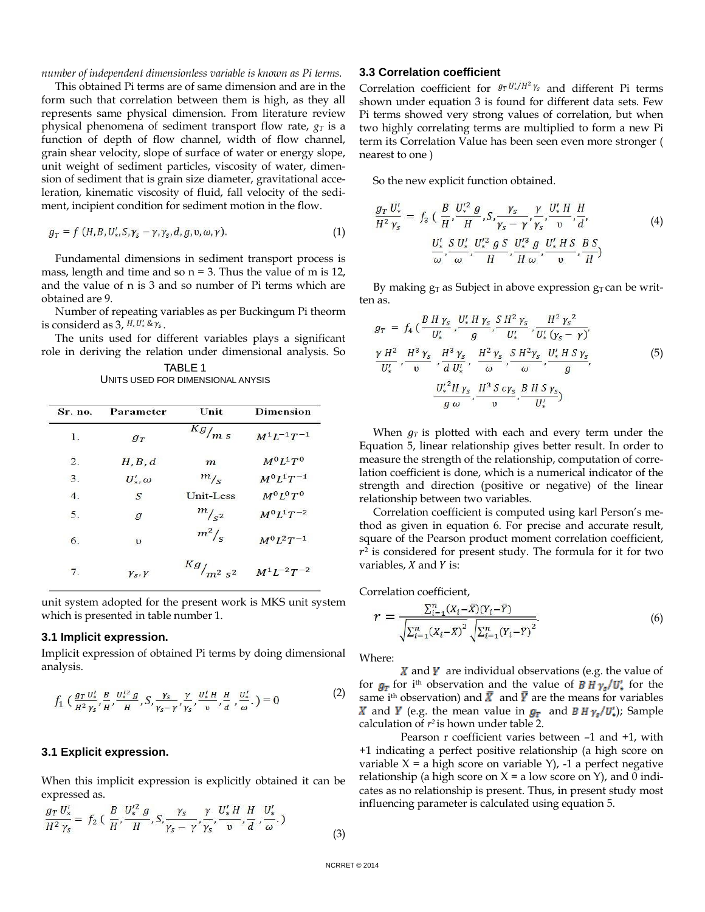*number of independent dimensionless variable is known as Pi terms.*

This obtained Pi terms are of same dimension and are in the form such that correlation between them is high, as they all represents same physical dimension. From literature review physical phenomena of sediment transport flow rate, *g<sup>T</sup>* is a function of depth of flow channel, width of flow channel, grain shear velocity, slope of surface of water or energy slope, unit weight of sediment particles, viscosity of water, dimension of sediment that is grain size diameter, gravitational acceleration, kinematic viscosity of fluid, fall velocity of the sediment, incipient condition for sediment motion in the flow.

$$
g_T = f(H, B, U'_*, S, \gamma_s - \gamma, \gamma_s, d, g, \upsilon, \omega, \gamma).
$$
 (1)

Fundamental dimensions in sediment transport process is mass, length and time and so  $n = 3$ . Thus the value of m is 12, and the value of n is 3 and so number of Pi terms which are obtained are 9.

Number of repeating variables as per Buckingum Pi theorm is considerd as 3,  $H, U'_{*} \& \gamma_{s}$ .

The units used for different variables plays a significant role in deriving the relation under dimensional analysis. So

| TABLE 1                           |  |
|-----------------------------------|--|
| UNITS USED FOR DIMENSIONAL ANYSIS |  |

| Sr. no.          | Parameter          | Unit                | <b>Dimension</b>    |  |
|------------------|--------------------|---------------------|---------------------|--|
| 1.               | $g_T$              | $\overline{Kg}_{m}$ | $M^{1}L^{-1}T^{-1}$ |  |
| 2.               | H, B, d            | $\boldsymbol{m}$    | $M^0 I^1 T^0$       |  |
| $\overline{3}$ . | $U'_*,\omega$      | m/s                 | $M^{0}L^{1}T^{-1}$  |  |
| $\overline{4}$ . | $\mathcal{S}$      | Unit-Less           | $M^0 I^0 T^0$       |  |
| 5.               | $\overline{g}$     | $m/s^2$             | $M^{0}L^{1}T^{-2}$  |  |
| 6.               | $\upsilon$         | $m^2$ /s            | $M^{0}L^{2}T^{-1}$  |  |
| $7\phantom{.0}$  | $\gamma_s, \gamma$ | $Kg/_{m^2s^2}$      | $M^{1}L^{-2}T^{-2}$ |  |

unit system adopted for the present work is MKS unit system which is presented in table number 1.

#### **3.1 Implicit expression.**

Implicit expression of obtained Pi terms by doing dimensional analysis.

$$
f_1\left(\frac{g_T u'_*,}{H^2 \gamma_s}, \frac{B}{H}, \frac{U'^2_s g}{H}, S, \frac{\gamma_s}{\gamma_s - \gamma}, \frac{\gamma}{\gamma_s}, \frac{U'_*, H}{v}, \frac{H}{a}, \frac{U'_*,}{\omega}\right) = 0
$$
 (2)

#### **3.1 Explicit expression.**

When this implicit expression is explicitly obtained it can be expressed as.

$$
\frac{g_T U'_*}{H^2 \gamma_s} = f_2 \left( \frac{B}{H}, \frac{U'^2_s g}{H}, S, \frac{\gamma_s}{\gamma_s - \gamma}, \frac{\gamma}{\gamma_s}, \frac{U'_* H}{\nu}, \frac{H}{d}, \frac{U'_*}{\omega} \right)
$$

#### **3.3 Correlation coefficient**

Correlation coefficient for  $g_T U'_\star / H^2 \gamma_s$  and different Pi terms shown under equation 3 is found for different data sets. Few Pi terms showed very strong values of correlation, but when two highly correlating terms are multiplied to form a new Pi term its Correlation Value has been seen even more stronger ( nearest to one )

So the new explicit function obtained.

$$
\frac{g_T U'_*}{H^2 \gamma_s} = f_3 \left( \frac{B}{H}, \frac{U''^2}{H}, S, \frac{\gamma_s}{\gamma_s - \gamma}, \frac{\gamma}{\gamma_s}, \frac{U'_* H}{\nu}, \frac{H}{d'} \right)
$$
\n
$$
\frac{U'_*}{\omega}, \frac{S}{\omega}, \frac{U'_*}{\mu}, \frac{U'^2}{H}, \frac{g}{H \omega}, \frac{U'_* H S}{\nu}, \frac{B S}{H} \right)
$$
\n(4)

By making  $g_T$  as Subject in above expression  $g_T$  can be written as.

$$
g_T = f_4 \left( \frac{B H \gamma_s}{U'_*}, \frac{U'_* H \gamma_s}{g}, \frac{S H^2 \gamma_s}{U'_*}, \frac{H^2 \gamma_s^2}{U'_* (\gamma_s - \gamma)}, \frac{\gamma H^2}{U'_*}, \frac{H^3 \gamma_s}{U^3}, \frac{H^3 \gamma_s}{d U'_*}, \frac{H^2 \gamma_s}{\omega}, \frac{S H^2 \gamma_s}{\omega}, \frac{U'_* H S \gamma_s}{g}, \frac{U'_* H S \gamma_s}{\omega} \right)
$$
(5)  

$$
\frac{U'_* H \gamma_s}{g \omega}, \frac{H^3 S c \gamma_s}{U}, \frac{B H S \gamma_s}{U'_*})
$$

When  $g_T$  is plotted with each and every term under the Equation 5, linear relationship gives better result. In order to measure the strength of the relationship, computation of correlation coefficient is done, which is a numerical indicator of the strength and direction (positive or negative) of the linear relationship between two variables.

Correlation coefficient is computed using karl Person's method as given in equation 6. For precise and accurate result, square of the Pearson product moment correlation coefficient,  $r<sup>2</sup>$  is considered for present study. The formula for it for two variables,  $X$  and  $Y$  is:

Correlation coefficient,

$$
r = \frac{\sum_{i=1}^{n} (X_i - \bar{X})(Y_i - \bar{Y})}{\sqrt{\sum_{i=1}^{n} (X_i - \bar{X})^2} \sqrt{\sum_{i=1}^{n} (Y_i - \bar{Y})^2}}.
$$
(6)

Where:

 $\boldsymbol{X}$  and  $\boldsymbol{Y}$  are individual observations (e.g. the value of for  $g_T$  for i<sup>th</sup> observation and the value of **B H**  $\gamma_s/U_*$  for the same i<sup>th</sup> observation) and  $\bar{X}$  and  $\bar{Y}$  are the means for variables X and Y (e.g. the mean value in  $g<sub>T</sub>$  and B H  $\gamma_s/U'_s$ ); Sample calculation of *r 2* is hown under table 2.

Pearson r coefficient varies between –1 and +1, with +1 indicating a perfect positive relationship (a high score on variable  $X = a$  high score on variable  $Y$ , -1 a perfect negative relationship (a high score on  $X = a$  low score on Y), and 0 indicates as no relationship is present. Thus, in present study most influencing parameter is calculated using equation 5.

(3)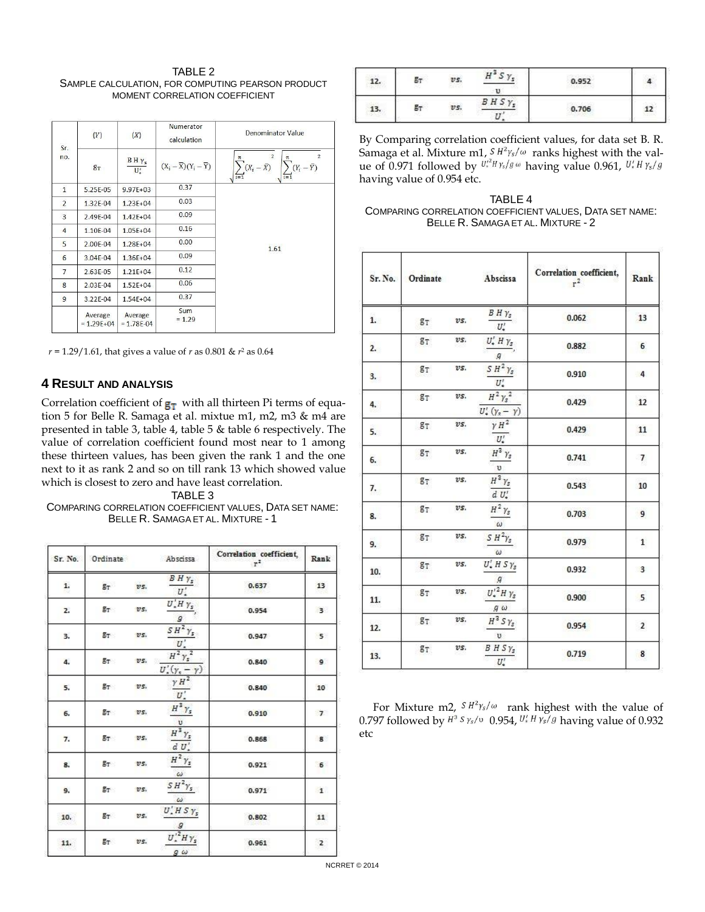TABLE 2 SAMPLE CALCULATION, FOR COMPUTING PEARSON PRODUCT MOMENT CORRELATION COEFFICIENT

| Sr.                      | (Y)                       | (X)                               | Numerator<br>calculation                   | Denominator Value                                                                                                                                              |
|--------------------------|---------------------------|-----------------------------------|--------------------------------------------|----------------------------------------------------------------------------------------------------------------------------------------------------------------|
| no.                      | $g_T$                     | $B H \gamma_s$<br>$\mathbf{U}'_s$ | $(X_i - \overline{X})(Y_i - \overline{Y})$ | $\overline{2}$<br>$\overline{\mathbf{z}}$<br>$\boldsymbol{n}$<br>$\boldsymbol{n}$<br>$\sum (Y_i - \overline{Y})$<br>$(X_i - \bar{X})$<br>$\overline{i=1}$<br>π |
| $\overline{1}$           | 5.25E-05                  | $9.97E + 03$                      | 0.37                                       |                                                                                                                                                                |
| $\overline{\phantom{a}}$ | 1.32E-04                  | $1.23E + 04$                      | 0.03                                       |                                                                                                                                                                |
| 3                        | 2.49E-04                  | $1.42E + 04$                      | 0.09                                       |                                                                                                                                                                |
| $\overline{4}$           | 1.10E-04                  | $1.05E + 04$                      | 0.16                                       |                                                                                                                                                                |
| 5                        | 2.00E-04                  | $1.28E + 04$                      | 0.00                                       | 1.61                                                                                                                                                           |
| 6                        | 3.04E-04                  | $1.36E + 04$                      | 0.09                                       |                                                                                                                                                                |
| $\overline{7}$           | 2.63E-05                  | $1.21E + 04$                      | 0.12                                       |                                                                                                                                                                |
| 8                        | 2.03E-04                  | $1.52E + 04$                      | 0.06                                       |                                                                                                                                                                |
| 9                        | 3.22E-04                  | $1.54E + 04$                      | 0.37                                       |                                                                                                                                                                |
|                          | Average<br>$= 1.29E + 04$ | Average<br>$= 1.78E - 04$         | Sum<br>$= 1.29$                            |                                                                                                                                                                |

*r* = 1.29/1.61, that gives a value of *r* as 0.801 & *r* <sup>2</sup> as 0.64

## **4 RESULT AND ANALYSIS**

Correlation coefficient of  $g_T$  with all thirteen Pi terms of equation 5 for Belle R. Samaga et al. mixtue m1, m2, m3 & m4 are presented in table 3, table 4, table 5 & table 6 respectively. The value of correlation coefficient found most near to 1 among these thirteen values, has been given the rank 1 and the one next to it as rank 2 and so on till rank 13 which showed value which is closest to zero and have least correlation.

TABLE 3

COMPARING CORRELATION COEFFICIENT VALUES, DATA SET NAME: BELLE R. SAMAGA ET AL. MIXTURE - 1

| Sr. No. | Ordinate |      | Abscissa                                                      | Correlation coefficient,<br>$r^2$ | Rank           |
|---------|----------|------|---------------------------------------------------------------|-----------------------------------|----------------|
| 1.      | $g_T$    | vs.  | $B H \gamma_s$<br>$U'_+$                                      | 0.637                             | 13             |
| 2.      | $g_T$    | vs.  | $U'$ . H $\gamma$ <sub>s</sub><br>$\mathcal G$                | 0.954                             | 3 <sup>1</sup> |
| з.      | $g_T$    | vs.  | $SH^2\gamma$<br>U'                                            | 0.947                             | $-5$           |
| 4.      | $g_T$    | vs.  | $H^2 \gamma_s^2$<br>$U'_{\epsilon}(\gamma_{\epsilon}-\gamma)$ | 0.840                             | 9              |
| 5.      | $g_T$    | vs.  | $\gamma H^2$<br>U'                                            | 0.840                             | 10             |
| б.      | $g_T$    | vs.  | $H^3 \gamma_s$<br>U                                           | 0,910                             | 7              |
| 7.      | $g_T$    | vs.  | $H^3 \gamma_s$<br>dU'                                         | 0.868                             | $\mathbf{s}$   |
| 8.      | $g_T$    | vs.  | $H^2 \gamma_s$<br>$\omega$                                    | 0.921                             | 6              |
| 9.      | $g_T$    | vs.  | $SH^2\gamma_s$<br>$\omega$                                    | 0.971                             | $\mathbf{1}$   |
| 10.     | $E_T$    | vs.  | $U'$ , $H S Y_s$<br>-9                                        | 0.802                             | 11             |
| 11.     | $E_T$    | 275. | $U'^{2} H Y_{s}$<br>$g\omega$                                 | 0.961                             | $\overline{2}$ |

| .<br>12. | $g_T$ | vs. | r<br>$\overline{\phantom{a}}$<br>л | 0.952 |    |
|----------|-------|-----|------------------------------------|-------|----|
| 13.      | Вτ    | vs. | <b>BHS</b><br>mr.                  | 0.706 | 12 |

By Comparing correlation coefficient values, for data set B. R. Samaga et al. Mixture m1,  $^{S \ H^2 \gamma_s/\omega}$  ranks highest with the value of 0.971 followed by  $U^{\mu}$   $H$   $\gamma$ s/ $g\omega$  having value 0.961, having value of 0.954 etc.

TABLE 4 COMPARING CORRELATION COEFFICIENT VALUES, DATA SET NAME: BELLE R. SAMAGA ET AL. MIXTURE - 2

| Sr. No. | Ordinate |     | Abscissa                                    | Correlation coefficient,<br>$r^2$ | Rank           |
|---------|----------|-----|---------------------------------------------|-----------------------------------|----------------|
| 1.      | $g_T$    | vs. | $B H \gamma_s$<br>$U'_*$                    | 0.062                             | 13             |
| 2.      | $g_T$    | vs. | $U'_*$ H $\gamma_s$<br>$\mathcal{G}$        | 0.882                             | 6              |
| 3.      | $g_T$    | vs. | $SH^2\gamma_s$<br>$U'_*$                    | 0.910                             | $\overline{4}$ |
| 4.      | $g_T$    | vs. | $H^2 \gamma_s^2$<br>$U'_*(\gamma_s-\gamma)$ | 0.429                             | 12             |
| 5.      | $g_T$    | vs. | $\gamma H^2$<br>$U'_\bullet$                | 0.429                             | 11             |
| 6.      | $g_T$    | vs. | $H^3$ $\gamma_s$<br>U.                      | 0.741                             | $\overline{7}$ |
| 7.      | $g_T$    | vs. | $H^3 \gamma_s$<br>$d U'_*$                  | 0.543                             | 10             |
| 8.      | $g_T$    | vs. | $H^2\,\gamma_s$<br>$\omega$                 | 0.703                             | 9              |
| 9.      | $g_T$    | vs. | $S H^2 \gamma_s$<br>$\omega$                | 0.979                             | $\mathbf{1}$   |
| 10.     | $g_T$    | vs. | $U'_*$ H S $\gamma_s$<br>$\mathfrak{g}$     | 0.932                             | $\overline{3}$ |
| 11.     | $g_T$    | vs. | $U_*^{\prime\,2}H$ $\gamma_s$<br>$g\omega$  | 0.900                             | 5              |
| 12.     | $g_T$    | vs. | $H^3$ S $\gamma_s$<br>U                     | 0.954                             | $\overline{2}$ |
| 13.     | $g_T$    | vs. | $B$ H $S$ $\gamma$ <sub>s</sub><br>$U'_*$   | 0.719                             | 8              |

For Mixture m2,  $\frac{S H^2 \gamma_s}{\omega}$  rank highest with the value of 0.797 followed by  $H^3 S \gamma_s/v$  0.954,  $U_*' H \gamma_s/g$  having value of 0.932 etc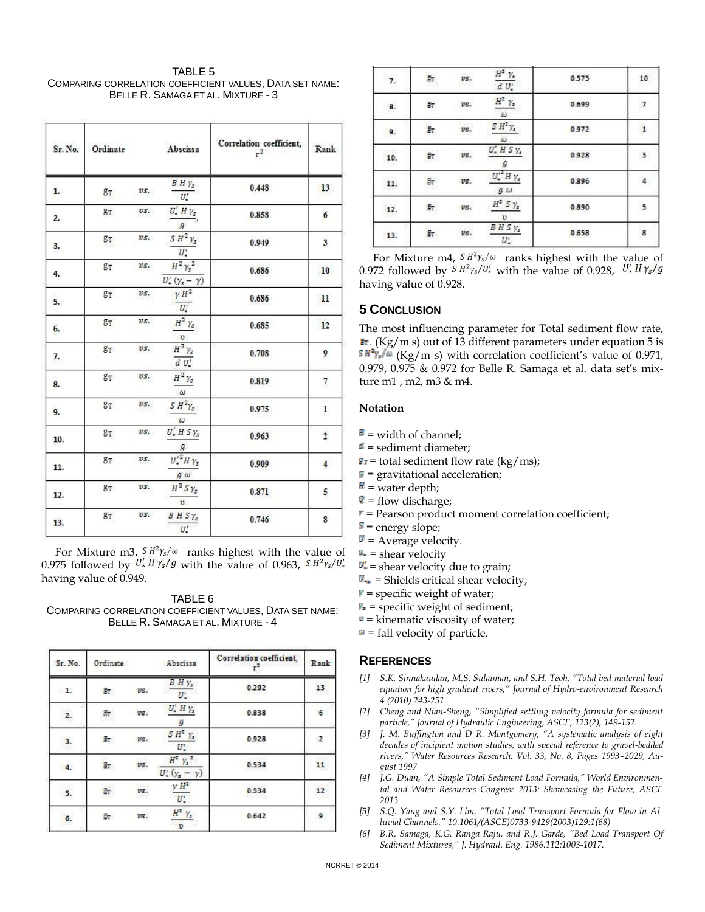TABLE 5 COMPARING CORRELATION COEFFICIENT VALUES, DATA SET NAME: BELLE R. SAMAGA ET AL. MIXTURE - 3

| Sr. No. | Ordinate |     | Abscissa                                      | Correlation coefficient,<br>$r^2$ | Rank                    |
|---------|----------|-----|-----------------------------------------------|-----------------------------------|-------------------------|
| 1.      | $g_T$    | vs. | $B H \gamma_s$<br>$\overline{U'_*}$           | 0.448                             | 13                      |
| 2.      | $g_T$    | vs. | $U'_*$ H $\gamma_s$<br>$\overline{g}$         | 0.858                             | 6                       |
| 3.      | $g_T$    | vs. | $S H^2 \gamma_s$<br>$U'_*$                    | 0.949                             | $\overline{\mathbf{3}}$ |
| 4.      | $g_T$    | vs. | $H^2 \gamma_s^2$<br>$U'_*(\gamma_s - \gamma)$ | 0.686                             | 10                      |
| 5.      | $g_T$    | vs. | $yH^2$<br>$U'_*$                              | 0.686                             | $_{11}$                 |
| 6.      | $g_T$    | vs. | $H^3$ $\gamma_s$<br>U                         | 0.685                             | 12                      |
| 7.      | $g_T$    | vs. | $H^3 Y_s$<br>$d U'_*$                         | 0.708                             | 9                       |
| 8.      | $g_T$    | vs. | $H^2 \gamma_s$<br>$\omega$                    | 0.819                             | 7                       |
| 9.      | $g_T$    | vs. | $S H^2 \gamma_s$<br>$\omega$                  | 0.975                             | 1                       |
| 10.     | $g_T$    | vs. | $U'_*$ H S $\gamma_s$<br>$\overline{g}$       | 0.963                             | $\overline{2}$          |
| 11.     | $g_T$    | vs. | $U'^2_sH\gamma_s$<br>$g\omega$                | 0.909                             | $\overline{4}$          |
| 12.     | $g_T$    | vs. | $H^3$ S $\gamma_s$<br>$\upsilon$              | 0.871                             | 5                       |
| 13.     | $g_T$    | vs. | $B$ H S $\gamma$ <sub>s</sub><br>$U'_*$       | 0.746                             | 8                       |

For Mixture m3,  $\frac{S H^2 \gamma_s}{\omega}$  ranks highest with the value of 0.975 followed by  $U'_* H \gamma_s / g$  with the value of 0.963,  $S H^2 \gamma_s / U'_*$ having value of 0.949.

# TABLE 6

COMPARING CORRELATION COEFFICIENT VALUES, DATA SET NAME: BELLE R. SAMAGA ET AL. MIXTURE - 4

| Sr. No.      | Ordinate |     | Abscissa                                       | Correlation coefficient, | Rank         |
|--------------|----------|-----|------------------------------------------------|--------------------------|--------------|
| $\pm$        | Êг       | vs. | $B$ $H$ $\gamma$ ,<br>$U'$ .                   | 0.292                    | 13           |
| 2.           | Ēт       | vs. | $U'$ . H $\gamma$ <sub>2</sub><br>$\mathcal G$ | 0.838                    | 6            |
| 3.           | gr.      | vs. | $SH^2$ $\gamma$<br>$U^{\prime}$                | 0.928                    | $\mathbf{z}$ |
| $\mathbf{4}$ | $g_T$    | vs. | $H^2$ $\gamma_s^2$<br>$U'_{n}(y_{n}-y)$        | 0.534                    | 11           |
| 5.           | Ør       | vs. | $rac{v H^2}{U'_*}$                             | 0.534                    | 12           |
| 6.           | $g_T$    | vs. | $H^2$ $V_a$<br>$\upsilon$                      | 0.642                    | 9            |

| 7.  | $g_T$ | vs. | $H^2$ $\gamma$ <sub>2</sub><br>$d U'_*$ | 0.573 | 10 |
|-----|-------|-----|-----------------------------------------|-------|----|
| 8.  | $g_T$ | vs. | $\frac{H^2 \ \gamma_s}{\omega}$         | 0.699 | -7 |
| 9.  | $g_T$ | vs. | $SH^2\gamma$ <sub>2</sub><br>ω          | 0.972 |    |
| 10. | Ør    | vs. | $U'$ , $H S y$ ,<br>я                   | 0.928 | 3  |
| 11. | $g_T$ | vs. | $U''$ H $\gamma$<br>$g\omega$           | 0.896 |    |
| 12. | gL.   | vs. | $H^2$ S <sub>Y<sub>2</sub></sub><br>υ   | 0.890 | 5  |
| 13. | Br    | vs. | BHS <sub>Y</sub><br>$U^{\prime}$ .      | 0.658 | 8  |

For Mixture m4,  $\frac{S H^2 \gamma_s}{\omega}$  ranks highest with the value of 0.972 followed by  $S H^2 \gamma_s/U_*$  with the value of 0.928,  $U_* H \gamma_s/g$ having value of 0.928.

# **5 CONCLUSION**

The most influencing parameter for Total sediment flow rate,  $\mathbf{F}$ . (Kg/m s) out of 13 different parameters under equation 5 is  $S H^2 y_s/\omega$  (Kg/m s) with correlation coefficient's value of 0.971, 0.979, 0.975 & 0.972 for Belle R. Samaga et al. data set's mixture m1 , m2, m3 & m4.

## **Notation**

- $B =$  width of channel;
- $d$  = sediment diameter;
- $\mathbf{F}$  = total sediment flow rate (kg/ms);
- $\mathbf{s}$  = gravitational acceleration;
- $H =$  water depth;
- $\sqrt{\ }$  = flow discharge;
- $r$  = Pearson product moment correlation coefficient;
- $S =$  energy slope;
- $\mathbf{U}$  = Average velocity.
- $\mu$  = shear velocity
- $\mathbf{U}'$  = shear velocity due to grain;
- $\mathbf{U}_{\text{F}}$  = Shields critical shear velocity;
- $\mathbf{v}$  = specific weight of water;
- $Y_i$  = specific weight of sediment;
- $\mathbf{v}$  = kinematic viscosity of water;
- $\omega$  = fall velocity of particle.

# **REFERENCES**

- *[1] S.K. Sinnakaudan, M.S. Sulaiman, and S.H. Teoh, "Total bed material load equation for high gradient rivers," Journal of Hydro-environment Research 4 (2010) 243-251*
- *[2] Cheng and Nian-Sheng, "Simplified settling velocity formula for sediment particle," Journal of Hydraulic Engineering, ASCE, 123(2), 149-152.*
- *[3] J. M. Buffington and D R. Montgomery, "A systematic analysis of eight decades of incipient motion studies, with special reference to gravel-bedded rivers," Water Resources Research, Vol. 33, No. 8, Pages 1993–2029, August 1997*
- *[4] J.G. Duan, "A Simple Total Sediment Load Formula," World Environmental and Water Resources Congress 2013: Showcasing the Future, ASCE 2013*
- *[5] S.Q. Yang and S.Y. Lim, "Total Load Transport Formula for Flow in Alluvial Channels," 10.1061/(ASCE)0733-9429(2003)129:1(68)*
- *[6] B.R. Samaga, K.G. Ranga Raju, and R.J. Garde, "Bed Load Transport Of Sediment Mixtures," J. Hydraul. Eng. 1986.112:1003-1017.*